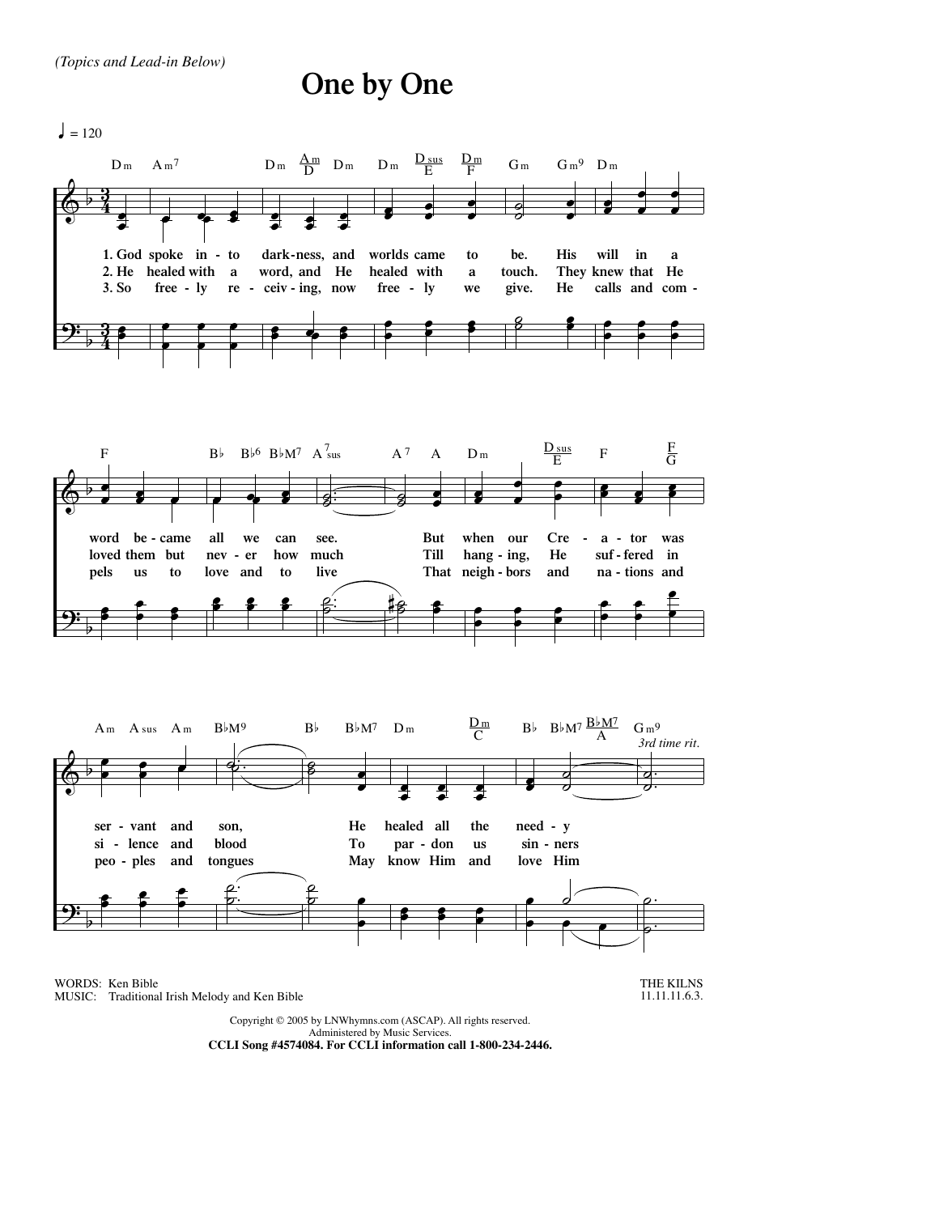## **One by One**

 $= 120$ 



Administered by Music Services. **CCLI Song #4574084. For CCLI information call 1-800-234-2446.**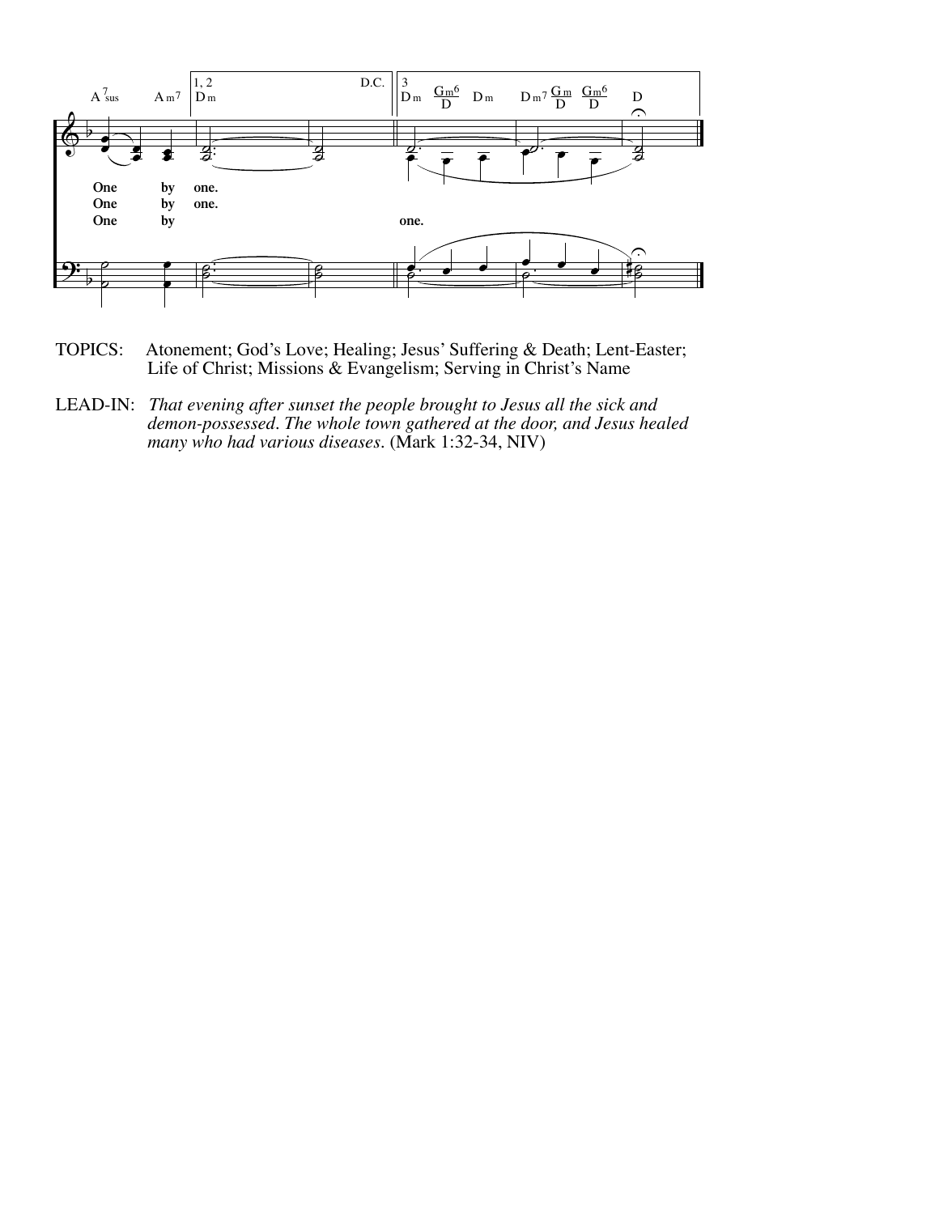

- TOPICS: Atonement; God's Love; Healing; Jesus' Suffering & Death; Lent-Easter; Life of Christ; Missions & Evangelism; Serving in Christ's Name
- LEAD-IN: *That evening after sunset the people brought to Jesus all the sick and demon-possessed. The whole town gathered at the door, and Jesus healed many who had various diseases.* (Mark 1:32-34, NIV)